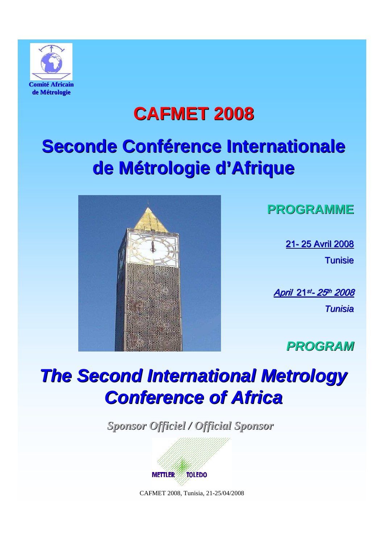

## **CAFMET 2008**

# **Seconde Conférence Internationale de Métrologie d'Afrique**



**PROGRAMME**

21- 25 Avril 2008 **Tunisie** 

<u>April 21st- 25th 2008</u>

**Tunisia** 

**PROGRAM**

# **The Second International Metrology Conference of Africa**

*Sponsor Officiel / Official Sponsor*

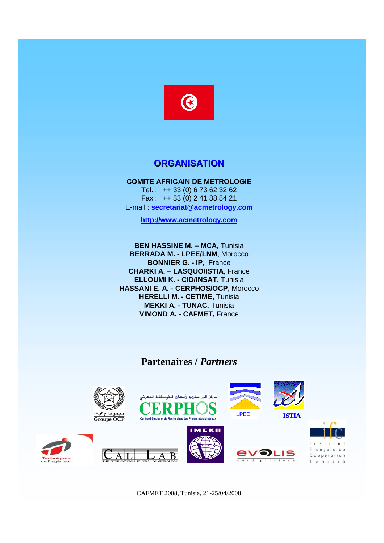

#### **ORGANISATION**

**COMITE AFRICAIN DE METROLOGIE** Tel. : ++ 33 (0) 6 73 62 32 62 Fax : ++ 33 (0) 2 41 88 84 21 E-mail : **secretariat@acmetrology.com**

**http://www.acmetrology.com**

**BEN HASSINE M. – MCA,** Tunisia **BERRADA M. - LPEE/LNM**, Morocco **BONNIER G. - IP,** France **CHARKI A.** – **LASQUO/ISTIA**, France **ELLOUMI K. - CID/INSAT,** Tunisia **HASSANI E. A. - CERPHOS/OCP**, Morocco **HERELLI M. - CETIME,** Tunisia **MEKKI A. - TUNAC,** Tunisia **VIMOND A. - CAFMET,** France

#### **Partenaires /** *Partners*

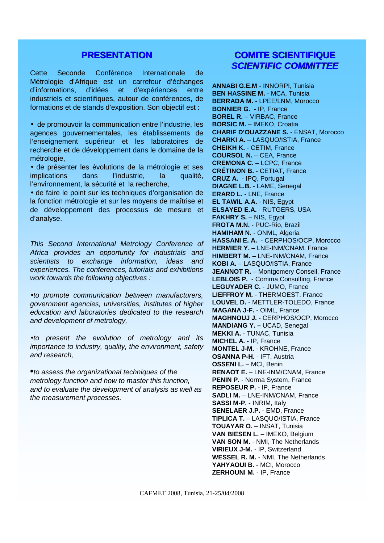#### **PRESENTATION**

Cette Seconde Conférence Internationale de Métrologie d'Afrique est un carrefour d'échanges d'informations, d'idées et d'expériences entre industriels et scientifiques, autour de conférences, de formations et de stands d'exposition. Son objectif est :

• de promouvoir la communication entre l'industrie, les agences gouvernementales, les établissements de l'enseignement supérieur et les laboratoires de recherche et de développement dans le domaine de la métrologie,

• de présenter les évolutions de la métrologie et ses implications dans l'industrie, la qualité, l'environnement, la sécurité et la recherche,

• de faire le point sur les techniques d'organisation de la fonction métrologie et sur les moyens de maîtrise et de développement des processus de mesure et d'analyse.

This Second International Metrology Conference of Africa provides an opportunity for industrials and scientists to exchange information, ideas and experiences. The conferences, tutorials and exhibitions work towards the following objectives :

•to promote communication between manufacturers, government agencies, universities, institutes of higher education and laboratories dedicated to the research and development of metrology,

•to present the evolution of metrology and its importance to industry, quality, the environment, safety and research,

•to assess the organizational techniques of the metrology function and how to master this function, and to evaluate the development of analysis as well as the measurement processes.

#### **COMITE SCIENTIFIQUE SCIENTIFIC COMMITTEE**

**ANNABI G.E.M** - INNORPI, Tunisia **BEN HASSINE M.** - MCA, Tunisia **BERRADA M.** - LPEE/LNM, Morocco **BONNIER G.** - IP, France **BOREL R.** – VIRBAC, France **BORSIC M.** – IMEKO, Croatia **CHARIF D'OUAZZANE S.** - ENSAT, Morocco **CHARKI A.** – LASQUO/ISTIA, France **CHEIKH K.** - CETIM, France **COURSOL N.** – CEA, France **CREMONA C.** – LCPC, France **CRÉTINON B.** - CETIAT, France **CRUZ A.** - IPQ, Portugal **DIAGNE L.B.** - LAME, Senegal **ERARD L.** - LNE, France **EL TAWIL A.A.** - NIS, Egypt **ELSAYED E.A.** - RUTGERS, USA **FAKHRY S.** – NIS, Egypt **FROTA M.N.** - PUC-Rio, Brazil **HAMIHAM N.** - ONML, Algeria **HASSANI E. A.** - CERPHOS/OCP, Morocco **HERMIER Y.** – LNE-INM/CNAM, France **HIMBERT M. - LNE-INM/CNAM, France KOBI A.** – LASQUO/ISTIA, France **JEANNOT R.** – Montgomery Conseil, France **LEBLOIS P.** - Comma Consulting, France **LEGUYADER C.** - JUMO, France **LIEFFROY M.** - THERMOEST, France **LOUVEL D.** - METTLER-TOLEDO, France **MAGANA J-F.** - OIML, France **MAGHNOUJ J.** - CERPHOS/OCP, Morocco **MANDIANG Y. –** UCAD, Senegal **MEKKI A.** - TUNAC, Tunisia **MICHEL A.** - IP, France **MONTEL J-M.** - KROHNE, France **OSANNA P-H.** - IFT, Austria **OSSENI L.** – MCI, Benin **RENAOT E. - LNE-INM/CNAM, France PENIN P.** - Norma System, France **REPOSEUR P.** - IP, France **SADLI M.** – LNE-INM/CNAM, France **SASSI M-P.** - INRIM, Italy **SENELAER J.P.** - EMD, France **TIPLICA T.** – LASQUO/ISTIA, France **TOUAYAR O.** – INSAT, Tunisia **VAN BIESEN L.** – IMEKO, Belgium **VAN SON M.** - NMI, The Netherlands **VIRIEUX J-M.** - IP, Switzerland **WESSEL R. M.** - NMI, The Netherlands **YAHYAOUI B.** - MCI, Morocco **ZERHOUNI M.** - IP, France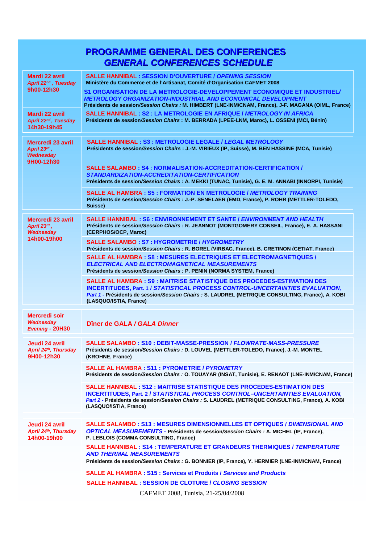## **PROGRAMME GENERAL DES CONFERENCES GENERAL CONFERENCES SCHEDULE**

| Mardi 22 avril<br>April 22 <sup>nd</sup> , Tuesday<br>9h00-12h30         | <b>SALLE HANNIBAL: SESSION D'OUVERTURE / OPENING SESSION</b><br>Ministère du Commerce et de l'Artisanat, Comité d'Organisation CAFMET 2008<br>S1 ORGANISATION DE LA METROLOGIE-DEVELOPPEMENT ECONOMIQUE ET INDUSTRIEL/<br><b>METROLOGY ORGANIZATION-INDUSTRIAL AND ECONOMICAL DEVELOPMENT</b>         |
|--------------------------------------------------------------------------|-------------------------------------------------------------------------------------------------------------------------------------------------------------------------------------------------------------------------------------------------------------------------------------------------------|
| Mardi 22 avril<br>April 22nd, Tuesday<br>14h30-19h45                     | Présidents de session/Session Chairs : M. HIMBERT (LNE-INM/CNAM, France), J-F. MAGANA (OIML, France)<br><b>SALLE HANNIBAL: S2: LA METROLOGIE EN AFRIQUE / METROLOGY IN AFRICA</b><br>Présidents de session/Session Chairs : M. BERRADA (LPEE-LNM, Maroc), L. OSSENI (MCI, Bénin)                      |
| <b>Mercredi 23 avril</b><br>April $23^{rd}$ ,<br>Wednesday<br>9H00-12h30 | <b>SALLE HANNIBAL: S3: METROLOGIE LEGALE / LEGAL METROLOGY</b><br>Présidents de session/Session Chairs : J.-M. VIRIEUX (IP, Suisse), M. BEN HASSINE (MCA, Tunisie)                                                                                                                                    |
|                                                                          | <b>SALLE SALAMBO: S4: NORMALISATION-ACCREDITATION-CERTIFICATION /</b><br>STANDARDIZATION-ACCREDITATION-CERTIFICATION<br>Présidents de session/Session Chairs : A. MEKKI (TUNAC, Tunisie), G. E. M. ANNABI (INNORPI, Tunisie)                                                                          |
|                                                                          | <b>SALLE AL HAMBRA: S5: FORMATION EN METROLOGIE / METROLOGY TRAINING</b><br>Présidents de session/Session Chairs : J.-P. SENELAER (EMD, France), P. ROHR (METTLER-TOLEDO,<br>Suisse)                                                                                                                  |
| Mercredi 23 avril<br>April 23rd,<br>Wednesday                            | <b>SALLE HANNIBAL: S6: ENVIRONNEMENT ET SANTE / ENVIRONMENT AND HEALTH</b><br>Présidents de session/Session Chairs : R. JEANNOT (MONTGOMERY CONSEIL, France), E. A. HASSANI<br>(CERPHOS/OCP, Maroc)                                                                                                   |
| 14h00-19h00                                                              | <b>SALLE SALAMBO: S7: HYGROMETRIE / HYGROMETRY</b><br>Présidents de session/Session Chairs : R. BOREL (VIRBAC, France), B. CRETINON (CETIAT, France)                                                                                                                                                  |
|                                                                          | <b>SALLE AL HAMBRA: S8: MESURES ELECTRIQUES ET ELECTROMAGNETIQUES /</b><br><b>ELECTRICAL AND ELECTROMAGNETICAL MEASUREMENTS</b><br>Présidents de session/Session Chairs : P. PENIN (NORMA SYSTEM, France)                                                                                             |
|                                                                          | <b>SALLE AL HAMBRA : S9 : MAITRISE STATISTIQUE DES PROCEDES-ESTIMATION DES</b><br><b>INCERTITUDES, Part. 1 / STATISTICAL PROCESS CONTROL-UNCERTAINTIES EVALUATION.</b><br>Part 1 - Présidents de session/Session Chairs : S. LAUDREL (METRIQUE CONSULTING, France), A. KOBI<br>(LASQUO/ISTIA, France) |
| <b>Mercredi soir</b><br>Wednesday<br>Evening - 20H30                     | Dîner de GALA / GALA Dinner                                                                                                                                                                                                                                                                           |
| Jeudi 24 avril<br>April 24th, Thursday<br>9H00-12h30                     | SALLE SALAMBO : S10 : DEBIT-MASSE-PRESSION / FLOWRATE-MASS-PRESSURE<br>Présidents de session/Session Chairs : D. LOUVEL (METTLER-TOLEDO, France), J.-M. MONTEL<br>(KROHNE, France)                                                                                                                    |
|                                                                          | <b>SALLE AL HAMBRA: S11: PYROMETRIE / PYROMETRY</b><br>Présidents de session/Session Chairs : O. TOUAYAR (INSAT, Tunisie), E. RENAOT (LNE-INM/CNAM, France)                                                                                                                                           |
|                                                                          | <b>SALLE HANNIBAL : S12 : MAITRISE STATISTIQUE DES PROCEDES-ESTIMATION DES</b><br><b>INCERTITUDES, Part. 2 / STATISTICAL PROCESS CONTROL-UNCERTAINTIES EVALUATION,</b><br>Part 2 - Présidents de session/Session Chairs : S. LAUDREL (METRIQUE CONSULTING, France), A. KOBI<br>(LASQUO/ISTIA, France) |
| Jeudi 24 avril<br>April 24th, Thursday<br>14h00-19h00                    | SALLE SALAMBO : S13 : MESURES DIMENSIONNELLES ET OPTIQUES / <i>DIMENSIONAL AND</i><br><b>OPTICAL MEASUREMENTS - Présidents de session/Session Chairs : A. MICHEL (IP, France),</b><br>P. LEBLOIS (COMMA CONSULTING, France)                                                                           |
|                                                                          | <b>SALLE HANNIBAL: S14: TEMPERATURE ET GRANDEURS THERMIQUES / TEMPERATURE</b><br><b>AND THERMAL MEASUREMENTS</b><br>Présidents de session/Session Chairs : G. BONNIER (IP, France), Y. HERMIER (LNE-INM/CNAM, France)                                                                                 |
|                                                                          | <b>SALLE AL HAMBRA: S15: Services et Produits / Services and Products</b>                                                                                                                                                                                                                             |
|                                                                          | <b>SALLE HANNIBAL: SESSION DE CLOTURE / CLOSING SESSION</b>                                                                                                                                                                                                                                           |
|                                                                          | CAFMET 2008, Tunisia, 21-25/04/2008                                                                                                                                                                                                                                                                   |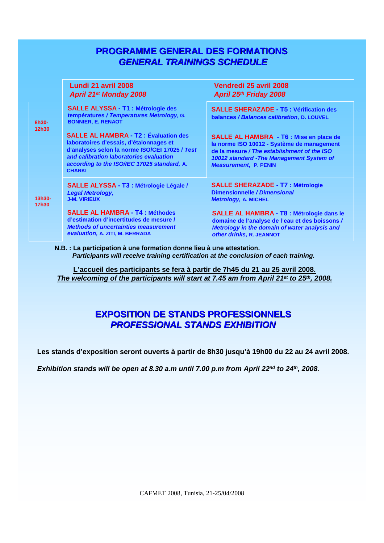### **PROGRAMME GENERAL DES FORMATIONS GENERAL TRAININGS SCHEDULE**

|                   | Lundi 21 avril 2008<br><b>April 21st Monday 2008</b>                                                                                                                                                                                                | Vendredi 25 avril 2008<br>April 25th Friday 2008                                                                                                                                                                         |
|-------------------|-----------------------------------------------------------------------------------------------------------------------------------------------------------------------------------------------------------------------------------------------------|--------------------------------------------------------------------------------------------------------------------------------------------------------------------------------------------------------------------------|
| 8h30-<br>12h30    | <b>SALLE ALYSSA - T1 : Métrologie des</b><br>températures / Temperatures Metrology, G.<br><b>BONNIER, E. RENAOT</b>                                                                                                                                 | <b>SALLE SHERAZADE - T5: Vérification des</b><br>balances / Balances calibration, D. LOUVEL                                                                                                                              |
|                   | <b>SALLE AL HAMBRA - T2: Évaluation des</b><br>laboratoires d'essais, d'étalonnages et<br>d'analyses selon la norme ISO/CEI 17025 / Test<br>and calibration laboratories evaluation<br>according to the ISO/IEC 17025 standard, A.<br><b>CHARKI</b> | <b>SALLE AL HAMBRA - T6 : Mise en place de</b><br>la norme ISO 10012 - Système de management<br>de la mesure / The establishment of the ISO<br>10012 standard - The Management System of<br><b>Measurement, P. PENIN</b> |
| $13h30-$<br>17h30 | SALLE ALYSSA - T3 : Métrologie Légale /<br><b>Legal Metrology,</b><br><b>J-M. VIRIEUX</b>                                                                                                                                                           | <b>SALLE SHERAZADE - T7 : Métrologie</b><br>Dimensionnelle / Dimensional<br><b>Metrology, A. MICHEL</b>                                                                                                                  |
|                   | <b>SALLE AL HAMBRA - T4 : Méthodes</b><br>d'estimation d'incertitudes de mesure /<br><b>Methods of uncertainties measurement</b><br>evaluation, A. ZITI, M. BERRADA                                                                                 | <b>SALLE AL HAMBRA - T8 : Métrologie dans le</b><br>domaine de l'analyse de l'eau et des boissons /<br>Metrology in the domain of water analysis and<br>other drinks, R. JEANNOT                                         |

**N.B. : La participation à une formation donne lieu à une attestation. Participants will receive training certification at the conclusion of each training.**

**L'accueil des participants se fera à partir de 7h45 du 21 au 25 avril 2008. The welcoming of the participants will start at 7.45 am from April 21st to 25th, 2008.**

## **EXPOSITION DE STANDS PROFESSIONNELS PROFESSIONAL STANDS EXHIBITION**

**Les stands d'exposition seront ouverts à partir de 8h30 jusqu'à 19h00 du 22 au 24 avril 2008.**

**Exhibition stands will be open at 8.30 a.m until 7.00 p.m from April 22nd to 24th, 2008.**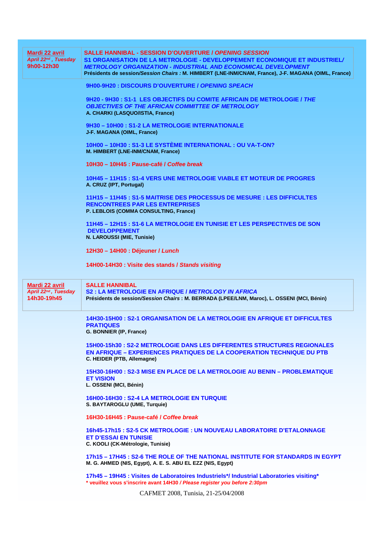| <b>Mardi 22 avril</b><br>April 22nd, Tuesday<br>9h00-12h30  | <b>SALLE HANNIBAL - SESSION D'OUVERTURE / OPENING SESSION</b><br>S1 ORGANISATION DE LA METROLOGIE - DEVELOPPEMENT ECONOMIQUE ET INDUSTRIEL/<br><b>METROLOGY ORGANIZATION - INDUSTRIAL AND ECONOMICAL DEVELOPMENT</b><br>Présidents de session/Session Chairs : M. HIMBERT (LNE-INM/CNAM, France), J-F. MAGANA (OIML, France) |
|-------------------------------------------------------------|------------------------------------------------------------------------------------------------------------------------------------------------------------------------------------------------------------------------------------------------------------------------------------------------------------------------------|
|                                                             | 9H00-9H20: DISCOURS D'OUVERTURE / OPENING SPEACH                                                                                                                                                                                                                                                                             |
|                                                             | 9H20 - 9H30 : S1-1 LES OBJECTIFS DU COMITE AFRICAIN DE METROLOGIE / THE<br><b>OBJECTIVES OF THE AFRICAN COMMITTEE OF METROLOGY</b><br>A. CHARKI (LASQUO/ISTIA, France)                                                                                                                                                       |
|                                                             | 9H30 - 10H00 : S1-2 LA METROLOGIE INTERNATIONALE<br>J-F. MAGANA (OIML, France)                                                                                                                                                                                                                                               |
|                                                             | 10H00 - 10H30 : S1-3 LE SYSTÈME INTERNATIONAL : OU VA-T-ON?<br>M. HIMBERT (LNE-INM/CNAM, France)                                                                                                                                                                                                                             |
|                                                             | 10H30 - 10H45 : Pause-café / Coffee break                                                                                                                                                                                                                                                                                    |
|                                                             | 10H45 - 11H15 : S1-4 VERS UNE METROLOGIE VIABLE ET MOTEUR DE PROGRES<br>A. CRUZ (IPT, Portugal)                                                                                                                                                                                                                              |
|                                                             | 11H15 - 11H45 : S1-5 MAITRISE DES PROCESSUS DE MESURE : LES DIFFICULTES<br><b>RENCONTREES PAR LES ENTREPRISES</b><br>P. LEBLOIS (COMMA CONSULTING, France)                                                                                                                                                                   |
|                                                             | 11H45 - 12H15 : S1-6 LA METROLOGIE EN TUNISIE ET LES PERSPECTIVES DE SON<br><b>DEVELOPPEMENT</b><br>N. LAROUSSI (MIE, Tunisie)                                                                                                                                                                                               |
|                                                             | 12H30 - 14H00 : Déjeuner / Lunch                                                                                                                                                                                                                                                                                             |
|                                                             | 14H00-14H30 : Visite des stands / Stands visiting                                                                                                                                                                                                                                                                            |
|                                                             |                                                                                                                                                                                                                                                                                                                              |
|                                                             |                                                                                                                                                                                                                                                                                                                              |
| <b>Mardi 22 avril</b><br>April 22nd, Tuesday<br>14h30-19h45 | <b>SALLE HANNIBAL</b><br>S2: LA METROLOGIE EN AFRIQUE / METROLOGY IN AFRICA<br>Présidents de session/Session Chairs : M. BERRADA (LPEE/LNM, Maroc), L. OSSENI (MCI, Bénin)                                                                                                                                                   |
|                                                             | <u> 14H30-15H00 : S2-1 ORGANISATION DE LA METROLOGIE EN AFRIQUE ET DIFFICULTES</u><br><b>PRATIQUES</b>                                                                                                                                                                                                                       |
|                                                             | G. BONNIER (IP, France)                                                                                                                                                                                                                                                                                                      |
|                                                             | <u> 15H00-15h30 : S2-2 METROLOGIE DANS LES DIFFERENTES STRUCTURES REGIONALES</u><br><b>EN AFRIQUE - EXPERIENCES PRATIQUES DE LA COOPERATION TECHNIQUE DU PTB</b><br>C. HEIDER (PTB, Allemagne)                                                                                                                               |
|                                                             | <u> 15H30-16H00 : S2-3 MISE EN PLACE DE LA METROLOGIE AU BENIN – PROBLEMATIQUE</u><br><b>ET VISION</b>                                                                                                                                                                                                                       |
|                                                             | L. OSSENI (MCI, Bénin)                                                                                                                                                                                                                                                                                                       |
|                                                             | 16H00-16H30: S2-4 LA METROLOGIE EN TURQUIE<br>S. BAYTAROGLU (UME, Turquie)                                                                                                                                                                                                                                                   |
|                                                             | 16H30-16H45: Pause-café / Coffee break                                                                                                                                                                                                                                                                                       |
|                                                             | 16h45-17h15 : S2-5 CK METROLOGIE : UN NOUVEAU LABORATOIRE D'ETALONNAGE<br>ET D'ESSAI EN TUNISIE<br>C. KOOLI (CK-Métrologie, Tunisie)                                                                                                                                                                                         |
|                                                             | <u>17h15 – 17H45 : S2-6 THE ROLE OF THE NATIONAL INSTITUTE FOR STANDARDS IN EGYPT</u><br>M. G. AHMED (NIS, Egypt), A. E. S. ABU EL EZZ (NIS, Egypt)                                                                                                                                                                          |
|                                                             | 17h45 - 19H45 : Visites de Laboratoires Industriels*/ Industrial Laboratories visiting*<br>* veuillez vous s'inscrire avant 14H30 / Please register you before 2:30pm                                                                                                                                                        |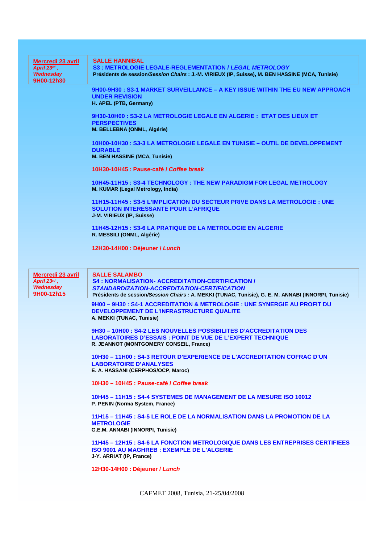| Mercredi 23 avril<br>April $23rd$ ,<br>Wednesday<br>9H00-12h30 | <b>SALLE HANNIBAL</b><br><b>S3: METROLOGIE LEGALE-REGLEMENTATION / LEGAL METROLOGY</b><br>Présidents de session/Session Chairs : J.-M. VIRIEUX (IP, Suisse), M. BEN HASSINE (MCA, Tunisie)                                              |
|----------------------------------------------------------------|-----------------------------------------------------------------------------------------------------------------------------------------------------------------------------------------------------------------------------------------|
|                                                                | 9H00-9H30: S3-1 MARKET SURVEILLANCE - A KEY ISSUE WITHIN THE EU NEW APPROACH<br><b>UNDER REVISION</b><br>H. APEL (PTB, Germany)                                                                                                         |
|                                                                | 9H30-10H00: S3-2 LA METROLOGIE LEGALE EN ALGERIE: ETAT DES LIEUX ET<br><b>PERSPECTIVES</b><br>M. BELLEBNA (ONML, Algérie)                                                                                                               |
|                                                                | 10H00-10H30: S3-3 LA METROLOGIE LEGALE EN TUNISIE - OUTIL DE DEVELOPPEMENT<br><b>DURABLE</b><br>M. BEN HASSINE (MCA, Tunisie)                                                                                                           |
|                                                                | 10H30-10H45: Pause-café / Coffee break                                                                                                                                                                                                  |
|                                                                | 10H45-11H15 : S3-4 TECHNOLOGY : THE NEW PARADIGM FOR LEGAL METROLOGY<br>M. KUMAR (Legal Metrology, India)                                                                                                                               |
|                                                                | 11H15-11H45 : S3-5 L'IMPLICATION DU SECTEUR PRIVE DANS LA METROLOGIE : UNE<br><b>SOLUTION INTERESSANTE POUR L'AFRIQUE</b><br>J-M. VIRIEUX (IP, Suisse)                                                                                  |
|                                                                | 11H45-12H15 : S3-6 LA PRATIQUE DE LA METROLOGIE EN ALGERIE<br>R. MESSILI (ONML, Algérie)                                                                                                                                                |
|                                                                | 12H30-14H00 : Déjeuner / Lunch                                                                                                                                                                                                          |
|                                                                |                                                                                                                                                                                                                                         |
|                                                                |                                                                                                                                                                                                                                         |
| Mercredi 23 avril<br>April 23rd,<br>Wednesday<br>9H00-12h15    | <b>SALLE SALAMBO</b><br><b>S4 : NORMALISATION- ACCREDITATION-CERTIFICATION /</b><br>STANDARDIZATION-ACCREDITATION-CERTIFICATION<br>Présidents de session/Session Chairs : A. MEKKI (TUNAC, Tunisie), G. E. M. ANNABI (INNORPI, Tunisie) |
|                                                                | 9H00 - 9H30 : S4-1 ACCREDITATION & METROLOGIE : UNE SYNERGIE AU PROFIT DU<br>DEVELOPPEMENT DE L'INFRASTRUCTURE QUALITE<br>A. MEKKI (TUNAC, Tunisie)                                                                                     |
|                                                                | 9H30 - 10H00 : S4-2 LES NOUVELLES POSSIBILITES D'ACCREDITATION DES<br><b>LABORATOIRES D'ESSAIS : POINT DE VUE DE L'EXPERT TECHNIQUE</b><br>R. JEANNOT (MONTGOMERY CONSEIL, France)                                                      |
|                                                                | 10H30 - 11H00 : S4-3 RETOUR D'EXPERIENCE DE L'ACCREDITATION COFRAC D'UN<br><b>LABORATOIRE D'ANALYSES</b><br>E. A. HASSANI (CERPHOS/OCP, Maroc)                                                                                          |
|                                                                | 10H30 - 10H45 : Pause-café / Coffee break                                                                                                                                                                                               |
|                                                                | 10H45 - 11H15 : S4-4 SYSTEMES DE MANAGEMENT DE LA MESURE ISO 10012<br>P. PENIN (Norma System, France)                                                                                                                                   |
|                                                                | 11H15 - 11H45 : S4-5 LE ROLE DE LA NORMALISATION DANS LA PROMOTION DE LA<br><b>METROLOGIE</b><br>G.E.M. ANNABI (INNORPI, Tunisie)                                                                                                       |
|                                                                | <u> 11H45 – 12H15 : S4-6 LA FONCTION METROLOGIQUE DANS LES ENTREPRISES CERTIFIEES</u><br><b>ISO 9001 AU MAGHREB : EXEMPLE DE L'ALGERIE</b><br>J-Y. ARRIAT (IP, France)                                                                  |
|                                                                | 12H30-14H00 : Déjeuner / Lunch                                                                                                                                                                                                          |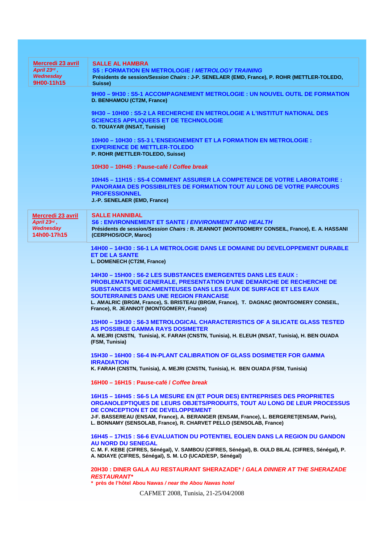| <b>Mercredi 23 avril</b> | <b>SALLE AL HAMBRA</b>                                                                                                            |
|--------------------------|-----------------------------------------------------------------------------------------------------------------------------------|
| April $23^{rd}$ ,        | <b>S5: FORMATION EN METROLOGIE / METROLOGY TRAINING</b>                                                                           |
| Wednesday                | Présidents de session/Session Chairs : J-P. SENELAER (EMD, France), P. ROHR (METTLER-TOLEDO,                                      |
| 9H00-11h15               | Suisse)                                                                                                                           |
|                          | 9H00 - 9H30 : S5-1 ACCOMPAGNEMENT METROLOGIE : UN NOUVEL OUTIL DE FORMATION                                                       |
|                          | D. BENHAMOU (CT2M, France)                                                                                                        |
|                          |                                                                                                                                   |
|                          | 9H30 - 10H00 : S5-2 LA RECHERCHE EN METROLOGIE A L'INSTITUT NATIONAL DES                                                          |
|                          | <b>SCIENCES APPLIQUEES ET DE TECHNOLOGIE</b>                                                                                      |
|                          | <b>O. TOUAYAR (INSAT, Tunisie)</b>                                                                                                |
|                          | 10H00 - 10H30 : S5-3 L'ENSEIGNEMENT ET LA FORMATION EN METROLOGIE :                                                               |
|                          | <b>EXPERIENCE DE METTLER-TOLEDO</b>                                                                                               |
|                          | P. ROHR (METTLER-TOLEDO, Suisse)                                                                                                  |
|                          |                                                                                                                                   |
|                          | 10H30 - 10H45 : Pause-café / Coffee break                                                                                         |
|                          |                                                                                                                                   |
|                          | <u> 10H45 – 11H15 : S5-4 COMMENT ASSURER LA COMPETENCE DE VOTRE LABORATOIRE :</u>                                                 |
|                          | <b>PANORAMA DES POSSIBILITES DE FORMATION TOUT AU LONG DE VOTRE PARCOURS</b>                                                      |
|                          | <b>PROFESSIONNEL</b><br>J.-P. SENELAER (EMD, France)                                                                              |
|                          |                                                                                                                                   |
| Mercredi 23 avril        | <b>SALLE HANNIBAL</b>                                                                                                             |
| April 23rd,              | S6: ENVIRONNEMENT ET SANTE / ENVIRONMENT AND HEALTH                                                                               |
| Wednesday                | Présidents de session/Session Chairs : R. JEANNOT (MONTGOMERY CONSEIL, France), E. A. HASSANI                                     |
| 14h00-17h15              | (CERPHOS/OCP, Maroc)                                                                                                              |
|                          |                                                                                                                                   |
|                          | <u> 14H00 – 14H30 : S6-1 LA METROLOGIE DANS LE DOMAINE DU DEVELOPPEMENT DURABLE</u>                                               |
|                          | <b>ET DE LA SANTE</b>                                                                                                             |
|                          | L. DOMENECH (CT2M, France)                                                                                                        |
|                          | 14H30 - 15H00 : S6-2 LES SUBSTANCES EMERGENTES DANS LES EAUX :                                                                    |
|                          | PROBLEMATIQUE GENERALE, PRESENTATION D'UNE DEMARCHE DE RECHERCHE DE                                                               |
|                          | <b>SUBSTANCES MEDICAMENTEUSES DANS LES EAUX DE SURFACE ET LES EAUX</b>                                                            |
|                          | SOUTERRAINES DANS UNE REGION FRANCAISE                                                                                            |
|                          | L. AMALRIC (BRGM, France), S. BRISTEAU (BRGM, France), T. DAGNAC (MONTGOMERY CONSEIL,                                             |
|                          | France), R. JEANNOT (MONTGOMERY, France)                                                                                          |
|                          |                                                                                                                                   |
|                          | 15H00 - 15H30 : S6-3 METROLOGICAL CHARACTERISTICS OF A SILICATE GLASS TESTED                                                      |
|                          | AS POSSIBLE GAMMA RAYS DOSIMETER<br>A. MEJRI (CNSTN, Tunisia), K. FARAH (CNSTN, Tunisia), H. ELEUH (INSAT, Tunisia), H. BEN OUADA |
|                          | (FSM, Tunisia)                                                                                                                    |
|                          |                                                                                                                                   |
|                          | 15H30 - 16H00 : S6-4 IN-PLANT CALIBRATION OF GLASS DOSIMETER FOR GAMMA                                                            |
|                          | <b>IRRADIATION</b>                                                                                                                |
|                          | K. FARAH (CNSTN, Tunisia), A. MEJRI (CNSTN, Tunisia), H. BEN OUADA (FSM, Tunisia)                                                 |
|                          |                                                                                                                                   |
|                          | 16H00 – 16H15 : Pause-café / Coffee break                                                                                         |
|                          | 16H15 - 16H45 : S6-5 LA MESURE EN (ET POUR DES) ENTREPRISES DES PROPRIETES                                                        |
|                          | ORGANOLEPTIQUES DE LEURS OBJETS/PRODUITS, TOUT AU LONG DE LEUR PROCESSUS                                                          |
|                          | DE CONCEPTION ET DE DEVELOPPEMENT                                                                                                 |
|                          | J-F. BASSEREAU (ENSAM, France), A. BERANGER (ENSAM, France), L. BERGERET(ENSAM, Paris),                                           |
|                          | L. BONNAMY (SENSOLAB, France), R. CHARVET PELLO (SENSOLAB, France)                                                                |
|                          |                                                                                                                                   |
|                          | <u> 16H45 – 17H15 : S6-6 EVALUATION DU POTENTIEL EOLIEN DANS LA REGION DU GANDON</u>                                              |
|                          | <b>AU NORD DU SENEGAL</b><br>C. M. F. KEBE (CIFRES, Sénégal), V. SAMBOU (CIFRES, Sénégal), B. OULD BILAL (CIFRES, Sénégal), P.    |
|                          | A. NDIAYE (CIFRES, Sénégal), S. M. LO (UCAD/ESP, Sénégal)                                                                         |
|                          |                                                                                                                                   |
|                          | 20H30 : DINER GALA AU RESTAURANT SHERAZADE* / GALA DINNER AT THE SHERAZADE                                                        |
|                          | <b>RESTAURANT*</b>                                                                                                                |
|                          | * près de l'hôtel Abou Nawas / near the Abou Nawas hotel                                                                          |
|                          | CAFMET 2008, Tunisia, 21-25/04/2008                                                                                               |
|                          |                                                                                                                                   |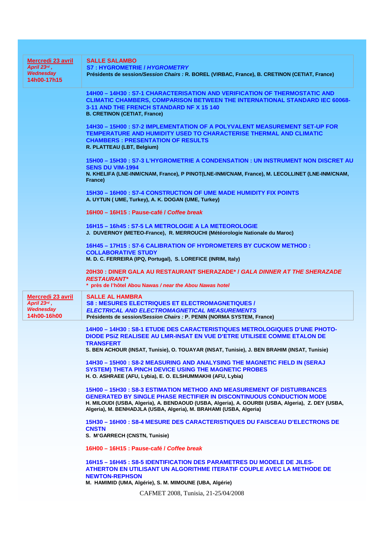| Mercredi 23 avril<br>April 23rd,<br>Wednesday<br>14h00-17h15 | <b>SALLE SALAMBO</b><br><b>S7: HYGROMETRIE / HYGROMETRY</b><br>Présidents de session/Session Chairs : R. BOREL (VIRBAC, France), B. CRETINON (CETIAT, France)                                                                                       |
|--------------------------------------------------------------|-----------------------------------------------------------------------------------------------------------------------------------------------------------------------------------------------------------------------------------------------------|
|                                                              | 14H00 - 14H30 : S7-1 CHARACTERISATION AND VERIFICATION OF THERMOSTATIC AND<br><b>CLIMATIC CHAMBERS, COMPARISON BETWEEN THE INTERNATIONAL STANDARD IEC 60068-</b><br>3-11 AND THE FRENCH STANDARD NF X 15 140<br><b>B. CRETINON (CETIAT, France)</b> |
|                                                              | 14H30 - 15H00 : S7-2 IMPLEMENTATION OF A POLYVALENT MEASUREMENT SET-UP FOR<br><b>TEMPERATURE AND HUMIDITY USED TO CHARACTERISE THERMAL AND CLIMATIC</b><br><b>CHAMBERS: PRESENTATION OF RESULTS</b><br>R. PLATTEAU (LBT, Belgium)                   |
|                                                              | 15H00 - 15H30: S7-3 L'HYGROMETRIE A CONDENSATION: UN INSTRUMENT NON DISCRET AU<br><b>SENS DU VIM-1994</b><br>N. KHELIFA (LNE-INM/CNAM, France), P PINOT(LNE-INM/CNAM, France), M. LECOLLINET (LNE-INM/CNAM,<br>France)                              |
|                                                              | 15H30 - 16H00 : S7-4 CONSTRUCTION OF UME MADE HUMIDITY FIX POINTS<br>A. UYTUN ( UME, Turkey), A. K. DOGAN (UME, Turkey)                                                                                                                             |
|                                                              | 16H00 - 16H15 : Pause-café / Coffee break                                                                                                                                                                                                           |
|                                                              | 16H15 - 16h45 : S7-5 LA METROLOGIE A LA METEOROLOGIE                                                                                                                                                                                                |
|                                                              | J. DUVERNOY (METEO-France), R. MERROUCHI (Météorologie Nationale du Maroc)                                                                                                                                                                          |
|                                                              | 16H45 - 17H15 : S7-6 CALIBRATION OF HYDROMETERS BY CUCKOW METHOD :<br><b>COLLABORATIVE STUDY</b>                                                                                                                                                    |
|                                                              | M. D. C. FERREIRA (IPQ, Portugal), S. LOREFICE (INRIM, Italy)                                                                                                                                                                                       |
|                                                              | 20H30 : DINER GALA AU RESTAURANT SHERAZADE* / GALA DINNER AT THE SHERAZADE<br><b>RESTAURANT*</b><br>* près de l'hôtel Abou Nawas / near the Abou Nawas hotel                                                                                        |
|                                                              |                                                                                                                                                                                                                                                     |
| <b>Mercredi 23 avril</b>                                     | <b>SALLE AL HAMBRA</b>                                                                                                                                                                                                                              |
| April 23rd,<br>Wednesday                                     | <b>S8 : MESURES ELECTRIQUES ET ELECTROMAGNETIQUES /</b><br><b>ELECTRICAL AND ELECTROMAGNETICAL MEASUREMENTS</b>                                                                                                                                     |
| 14h00-16h00                                                  | Présidents de session/Session Chairs : P. PENIN (NORMA SYSTEM, France)                                                                                                                                                                              |
|                                                              |                                                                                                                                                                                                                                                     |
|                                                              | 14H00 - 14H30 : S8-1 ETUDE DES CARACTERISTIQUES METROLOGIQUES D'UNE PHOTO-<br>DIODE PSIZ REALISEE AU LMR-INSAT EN VUE D'ETRE UTILISEE COMME ETALON DE<br>TRANSFERT                                                                                  |
|                                                              | S. BEN ACHOUR (INSAT, Tunisie), O. TOUAYAR (INSAT, Tunisie), J. BEN BRAHIM (INSAT, Tunisie)                                                                                                                                                         |
|                                                              | 14H30 - 15H00 : S8-2 MEASURING AND ANALYSING THE MAGNETIC FIELD IN (SERAJ                                                                                                                                                                           |
|                                                              | SYSTEM) THETA PINCH DEVICE USING THE MAGNETIC PROBES<br>H. O. ASHRAEE (AFU, Lybia), E. O. ELSHUMMAKHI (AFU, Lybia)                                                                                                                                  |
|                                                              | 15H00 - 15H30 : S8-3 ESTIMATION METHOD AND MEASUREMENT OF DISTURBANCES                                                                                                                                                                              |
|                                                              | <b>GENERATED BY SINGLE PHASE RECTIFIER IN DISCONTINUOUS CONDUCTION MODE</b>                                                                                                                                                                         |
|                                                              | H. MILOUDI (USBA, Algeria), A. BENDAOUD (USBA, Algeria), A. GOURBI (USBA, Algeria), Z. DEY (USBA,<br>Algeria), M. BENHADJLA (USBA, Algeria), M. BRAHAMI (USBA, Algeria)                                                                             |
|                                                              | 15H30 - 16H00 : S8-4 MESURE DES CARACTERISTIQUES DU FAISCEAU D'ELECTRONS DE<br><b>CNSTN</b>                                                                                                                                                         |
|                                                              | S. M'GARRECH (CNSTN, Tunisie)                                                                                                                                                                                                                       |
|                                                              | 16H00 - 16H15 : Pause-café / Coffee break                                                                                                                                                                                                           |
|                                                              | 16H15 - 16H45 : S8-5 IDENTIFICATION DES PARAMETRES DU MODELE DE JILES-<br>ATHERTON EN UTILISANT UN ALGORITHME ITERATIF COUPLE AVEC LA METHODE DE<br><b>NEWTON-REPHSON</b>                                                                           |
|                                                              | M. HAMIMID (UMA, Algérie), S. M. MIMOUNE (UBA, Algérie)                                                                                                                                                                                             |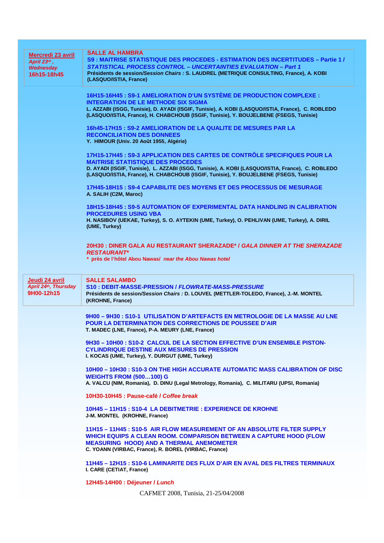| Mercredi 23 avril                       | <b>SALLE AL HAMBRA</b><br>S9 : MAITRISE STATISTIQUE DES PROCEDES - ESTIMATION DES INCERTITUDES – Partie 1 /                                                                                                                           |
|-----------------------------------------|---------------------------------------------------------------------------------------------------------------------------------------------------------------------------------------------------------------------------------------|
| April 23rd,<br>Wednesday<br>16h15-18h45 | <b>STATISTICAL PROCESS CONTROL - UNCERTAINTIES EVALUATION - Part 1</b><br>Présidents de session/Session Chairs : S. LAUDREL (METRIQUE CONSULTING, France), A. KOBI<br>(LASQUO/ISTIA, France)                                          |
|                                         | 16H15-16H45 : S9-1 AMELIORATION D'UN SYSTÈME DE PRODUCTION COMPLEXE :                                                                                                                                                                 |
|                                         | <b>INTEGRATION DE LE METHODE SIX SIGMA</b>                                                                                                                                                                                            |
|                                         | L. AZZABI (ISGG, Tunisie), D. AYADI (ISGIF, Tunisie), A. KOBI (LASQUO/ISTIA, France), C. ROBLEDO<br>(LASQUO/ISTIA, France), H. CHABCHOUB (ISGIF, Tunisie), Y. BOUJELBENE (FSEGS, Tunisie)                                             |
|                                         | 16h45-17H15 : S9-2 AMELIORATION DE LA QUALITE DE MESURES PAR LA<br><b>RECONCILIATION DES DONNEES</b>                                                                                                                                  |
|                                         | Y. HIMOUR (Univ. 20 Août 1955, Algérie)                                                                                                                                                                                               |
|                                         | 17H15-17H45 : S9-3 APPLICATION DES CARTES DE CONTRÔLE SPECIFIQUES POUR LA                                                                                                                                                             |
|                                         | <b>MAITRISE STATISTIQUE DES PROCEDES</b><br>D. AYADI (ISGIF, Tunisie), L. AZZABI (ISGG, Tunisie), A. KOBI (LASQUO/ISTIA, France), C. ROBLEDO<br>(LASQUO/ISTIA, France), H. CHABCHOUB (ISGIF, Tunisie), Y. BOUJELBENE (FSEGS, Tunisie) |
|                                         | 17H45-18H15 : S9-4 CAPABILITE DES MOYENS ET DES PROCESSUS DE MESURAGE<br>A. SALIH (C2M, Maroc)                                                                                                                                        |
|                                         | 18H15-18H45: S9-5 AUTOMATION OF EXPERIMENTAL DATA HANDLING IN CALIBRATION                                                                                                                                                             |
|                                         | <b>PROCEDURES USING VBA</b><br>H. NASIBOV (UEKAE, Turkey), S. O. AYTEKIN (UME, Turkey), O. PEHLIVAN (UME, Turkey), A. DIRIL                                                                                                           |
|                                         | (UME, Turkey)                                                                                                                                                                                                                         |
|                                         | 20H30 : DINER GALA AU RESTAURANT SHERAZADE* / GALA DINNER AT THE SHERAZADE<br><b>RESTAURANT*</b>                                                                                                                                      |
|                                         | * près de l'hôtel Abou Nawas/ near the Abou Nawas hotel                                                                                                                                                                               |
|                                         |                                                                                                                                                                                                                                       |
| Jeudi 24 avril                          | <b>SALLE SALAMBO</b>                                                                                                                                                                                                                  |
| April 24th, Thursday<br>9H00-12h15      | S10: DEBIT-MASSE-PRESSION / FLOWRATE-MASS-PRESSURE<br>Présidents de session/Session Chairs : D. LOUVEL (METTLER-TOLEDO, France), J.-M. MONTEL<br>(KROHNE, France)                                                                     |
|                                         |                                                                                                                                                                                                                                       |
|                                         | 9H00 – 9H30 : S10-1_UTILISATION D'ARTEFACTS EN METROLOGIE DE LA MASSE AU LNE<br>POUR LA DETERMINATION DES CORRECTIONS DE POUSSEE D'AIR<br>T. MADEC (LNE, France), P-A. MEURY (LNE, France)                                            |
|                                         | 9H30-10H00: S10-2 CALCUL DE LA SECTION EFFECTIVE D'UN ENSEMBLE PISTON-                                                                                                                                                                |
|                                         | <b>CYLINDRIQUE DESTINE AUX MESURES DE PRESSION</b><br>I. KOCAS (UME, Turkey), Y. DURGUT (UME, Turkey)                                                                                                                                 |
|                                         | 10H00 - 10H30 : S10-3 ON THE HIGH ACCURATE AUTOMATIC MASS CALIBRATION OF DISC                                                                                                                                                         |
|                                         | <b>WEIGHTS FROM (500100) G</b><br>A. VALCU (NIM, Romania), D. DINU (Legal Metrology, Romania), C. MILITARU (UPSI, Romania)                                                                                                            |
|                                         | 10H30-10H45: Pause-café / Coffee break                                                                                                                                                                                                |
|                                         | 10H45 - 11H15 : S10-4 LA DEBITMETRIE : EXPERIENCE DE KROHNE<br>J-M. MONTEL (KROHNE, France)                                                                                                                                           |
|                                         | 11H15 - 11H45 : S10-5 AIR FLOW MEASUREMENT OF AN ABSOLUTE FILTER SUPPLY                                                                                                                                                               |
|                                         | WHICH EQUIPS A CLEAN ROOM. COMPARISON BETWEEN A CAPTURE HOOD (FLOW<br><b>MEASURING HOOD) AND A THERMAL ANEMOMETER</b><br>C. YOANN (VIRBAC, France), R. BOREL (VIRBAC, France)                                                         |
|                                         | 11H45 - 12H15 : S10-6 LAMINARITE DES FLUX D'AIR EN AVAL DES FILTRES TERMINAUX<br>I. CARE (CETIAT, France)                                                                                                                             |
|                                         | 12H45-14H00 : Déjeuner / Lunch                                                                                                                                                                                                        |
|                                         | CAFMET 2008, Tunisia, 21-25/04/2008                                                                                                                                                                                                   |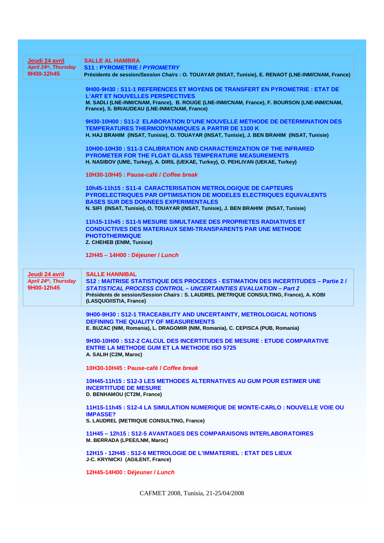| Jeudi 24 avril<br>April 24th, Thursday<br>9H00-12h45 | <b>SALLE AL HAMBRA</b><br><b>S11: PYROMETRIE / PYROMETRY</b>                                                                                                       |
|------------------------------------------------------|--------------------------------------------------------------------------------------------------------------------------------------------------------------------|
|                                                      | Présidents de session/Session Chairs : O. TOUAYAR (INSAT, Tunisie), E. RENAOT (LNE-INM/CNAM, France)                                                               |
|                                                      | 9H00-9H30 : S11-1 REFERENCES ET MOYENS DE TRANSFERT EN PYROMETRIE : ETAT DE                                                                                        |
|                                                      | <b>L'ART ET NOUVELLES PERSPECTIVES</b><br>M. SADLI (LNE-INM/CNAM, France), B. ROUGE (LNE-INM/CNAM, France), F. BOURSON (LNE-INM/CNAM,                              |
|                                                      | France), S. BRIAUDEAU (LNE-INM/CNAM, France)                                                                                                                       |
|                                                      | 9H30-10H00 : S11-2 ELABORATION D'UNE NOUVELLE METHODE DE DETERMINATION DES                                                                                         |
|                                                      | <b>TEMPERATURES THERMODYNAMIQUES A PARTIR DE 1100 K</b><br>H. HAJ BRAHIM (INSAT, Tunisie), O. TOUAYAR (INSAT, Tunisie), J. BEN BRAHIM (INSAT, Tunisie)             |
|                                                      |                                                                                                                                                                    |
|                                                      | 10H00-10H30: S11-3 CALIBRATION AND CHARACTERIZATION OF THE INFRARED<br><b>PYROMETER FOR THE FLOAT GLASS TEMPERATURE MEASUREMENTS</b>                               |
|                                                      | H. NASIBOV (UME, Turkey), A. DIRIL (UEKAE, Turkey), O. PEHLIVAN (UEKAE, Turkey)                                                                                    |
|                                                      | 10H30-10H45 : Pause-café / Coffee break                                                                                                                            |
|                                                      | 10h45-11h15: S11-4 CARACTERISATION METROLOGIQUE DE CAPTEURS                                                                                                        |
|                                                      | PYROELECTRIQUES PAR OPTIMISATION DE MODELES ELECTRIQUES EQUIVALENTS                                                                                                |
|                                                      | <b>BASES SUR DES DONNEES EXPERIMENTALES</b><br>N. SIFI (INSAT, Tunisie), O. TOUAYAR (INSAT, Tunisie), J. BEN BRAHIM (INSAT, Tunisie)                               |
|                                                      |                                                                                                                                                                    |
|                                                      | 11h15-11h45: S11-5 MESURE SIMULTANEE DES PROPRIETES RADIATIVES ET<br><b>CONDUCTIVES DES MATERIAUX SEMI-TRANSPARENTS PAR UNE METHODE</b>                            |
|                                                      | <b>PHOTOTHERMIQUE</b>                                                                                                                                              |
|                                                      | Z. CHEHEB (ENIM, Tunisie)                                                                                                                                          |
|                                                      | 12H45 - 14H00 : Déjeuner / Lunch                                                                                                                                   |
| Jeudi 24 avril                                       | <b>SALLE HANNIBAL</b>                                                                                                                                              |
| April 24th, Thursday                                 | S12 : MAITRISE STATISTIQUE DES PROCEDES - ESTIMATION DES INCERTITUDES - Partie 2 /                                                                                 |
| 9H00-12h45                                           | <b>STATISTICAL PROCESS CONTROL – UNCERTAINTIES EVALUATION – Part 2</b><br>Présidents de session/Session Chairs : S. LAUDREL (METRIQUE CONSULTING, France), A. KOBI |
|                                                      | (LASQUO/ISTIA, France)                                                                                                                                             |
|                                                      | 9H00-9H30 : S12-1 TRACEABILITY AND UNCERTAINTY, METROLOGICAL NOTIONS                                                                                               |
|                                                      | <b>DEFINING THE QUALITY OF MEASUREMENTS</b><br>E. BUZAC (NIM, Romania), L. DRAGOMIR (NIM, Romania), C. CEPISCA (PUB, Romania)                                      |
|                                                      |                                                                                                                                                                    |
|                                                      | 9H30-10H00: S12-2 CALCUL DES INCERTITUDES DE MESURE : ETUDE COMPARATIVE<br><b>ENTRE LA METHODE GUM ET LA METHODE ISO 5725</b>                                      |
|                                                      | A. SALIH (C2M, Maroc)                                                                                                                                              |
|                                                      | 10H30-10H45 : Pause-café / Coffee break                                                                                                                            |
|                                                      | 10H45-11h15 : S12-3 LES METHODES ALTERNATIVES AU GUM POUR ESTIMER UNE                                                                                              |
|                                                      | <b>INCERTITUDE DE MESURE</b><br>D. BENHAMOU (CT2M, France)                                                                                                         |
|                                                      |                                                                                                                                                                    |
|                                                      | 11H15-11h45 : S12-4 LA SIMULATION NUMERIQUE DE MONTE-CARLO : NOUVELLE VOIE OU<br><b>IMPASSE?</b>                                                                   |
|                                                      | S. LAUDREL (METRIQUE CONSULTING, France)                                                                                                                           |
|                                                      | 11H45 - 12h15 : S12-5 AVANTAGES DES COMPARAISONS INTERLABORATOIRES<br>M. BERRADA (LPEE/LNM, Maroc)                                                                 |
|                                                      | 12H15 - 12H45 : S12-6 METROLOGIE DE L'IMMATERIEL : ETAT DES LIEUX<br>J-C. KRYNICKI (AGILENT, France)                                                               |
|                                                      | 12H45-14H00 : Déjeuner / Lunch                                                                                                                                     |
|                                                      | CAFMET 2008, Tunisia, 21-25/04/2008                                                                                                                                |
|                                                      |                                                                                                                                                                    |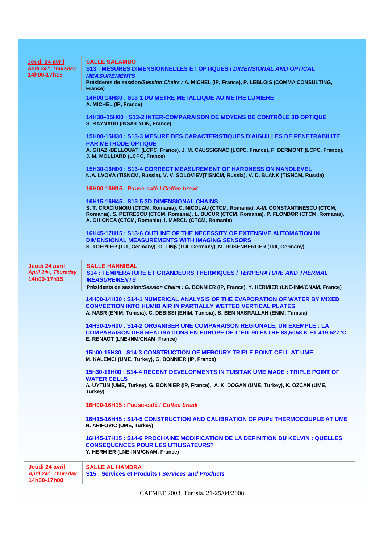| Jeudi 24 avril       | <b>SALLE SALAMBO</b>                                                                                                         |
|----------------------|------------------------------------------------------------------------------------------------------------------------------|
| April 24th, Thursday | <b>S13: MESURES DIMENSIONNELLES ET OPTIQUES / DIMENSIONAL AND OPTICAL</b>                                                    |
| 14h00-17h15          | <b>MEASUREMENTS</b>                                                                                                          |
|                      | Présidents de session/Session Chairs : A. MICHEL (IP, France), P. LEBLOIS (COMMA CONSULTING,                                 |
|                      | France)                                                                                                                      |
|                      | 14H00-14H30: S13-1 DU METRE METALLIQUE AU METRE LUMIERE                                                                      |
|                      | A. MICHEL (IP, France)                                                                                                       |
|                      |                                                                                                                              |
|                      | 14H30-15H00 : S13-2 INTER-COMPARAISON DE MOYENS DE CONTRÔLE 3D OPTIQUE                                                       |
|                      | S. RAYNAUD (INSA-LYON, France)                                                                                               |
|                      |                                                                                                                              |
|                      | 15H00-15H30: S13-3 MESURE DES CARACTERISTIQUES D'AIGUILLES DE PENETRABILITE                                                  |
|                      | <b>PAR METHODE OPTIQUE</b><br>A. GHAZI-BELLOUATI (LCPC, France), J. M. CAUSSIGNAC (LCPC, France), F. DERMONT (LCPC, France), |
|                      | J. M. MOLLIARD (LCPC, France)                                                                                                |
|                      |                                                                                                                              |
|                      | 15H30-16H00: S13-4 CORRECT MEASUREMENT OF HARDNESS ON NANOLEVEL                                                              |
|                      | N.A. LVOVA (TISNCM, Russia), V. V. SOLOVIEV(TISNCM, Russia), V. D. BLANK (TISNCM, Russia)                                    |
|                      |                                                                                                                              |
|                      | 16H00-16H15 : Pause-café / Coffee break                                                                                      |
|                      | 16H15-16H45: S13-5 3D DIMENSIONAL CHAINS                                                                                     |
|                      | S. T. CRACIUNOIU (CTCM, Romania), C. NICOLAU (CTCM, Romania), A-M. CONSTANTINESCU (CTCM,                                     |
|                      | Romania), S. PETRESCU (CTCM, Romania), L. BUCUR (CTCM, Romania), P. FLONDOR (CTCM, Romania),                                 |
|                      | A. GHIONEA (CTCM, Romania), I. MARCU (CTCM, Romania)                                                                         |
|                      |                                                                                                                              |
|                      | 16H45-17H15 : S13-6 OUTLINE OF THE NECESSITY OF EXTENSIVE AUTOMATION IN                                                      |
|                      | <b>DIMENSIONAL MEASUREMENTS WITH IMAGING SENSORS</b>                                                                         |
|                      | S. TOEPFER (TUI, Germany), G. LINß (TUI, Germany), M. ROSENBERGER (TUI, Germany)                                             |
|                      |                                                                                                                              |
| Jeudi 24 avril       | <b>SALLE HANNIBAL</b>                                                                                                        |
| April 24th, Thursday | S14 : TEMPERATURE ET GRANDEURS THERMIQUES / TEMPERATURE AND THERMAL                                                          |
| 14h00-17h15          | <b>MEASUREMENTS</b>                                                                                                          |
|                      | Présidents de session/Session Chairs : G. BONNIER (IP, France), Y. HERMIER (LNE-INM/CNAM, France)                            |
|                      | 14H00-14H30 : S14-1 NUMERICAL ANALYSIS OF THE EVAPORATION OF WATER BY MIXED                                                  |
|                      | <b>CONVECTION INTO HUMID AIR IN PARTIALLY WETTED VERTICAL PLATES</b>                                                         |
|                      | A. NASR (ENIM, Tunisia), C. DEBISSI (ENIM, Tunisia), S. BEN NASRALLAH (ENIM, Tunisia)                                        |
|                      |                                                                                                                              |
|                      | 14H30-15H00: S14-2 ORGANISER UNE COMPARAISON REGIONALE, UN EXEMPLE : LA                                                      |
|                      | COMPARAISON DES REALISATIONS EN EUROPE DE L'EIT-90 ENTRE 83,5058 K ET 419,527 ℃                                              |
|                      | E. RENAOT (LNE-INM/CNAM, France)                                                                                             |
|                      | 15h00-15H30 : S14-3 CONSTRUCTION OF MERCURY TRIPLE POINT CELL AT UME                                                         |
|                      | M. KALEMCI (UME, Turkey), G. BONNIER (IP, France)                                                                            |
|                      |                                                                                                                              |
|                      | 15h30-16H00: S14-4 RECENT DEVELOPMENTS IN TUBITAK UME MADE: TRIPLE POINT OF                                                  |
|                      | <b>WATER CELLS</b>                                                                                                           |
|                      | A. UYTUN (UME, Turkey), G. BONNIER (IP, France), A. K. DOGAN (UME, Turkey), K. OZCAN (UME,                                   |
|                      | Turkey)                                                                                                                      |
|                      | 16H00-16H15 : Pause-café / Coffee break                                                                                      |
|                      |                                                                                                                              |
|                      | <u> 16H15-16H45 : S14-5 CONSTRUCTION AND CALIBRATION OF Pt/Pd THERMOCOUPLE AT UME</u>                                        |
|                      | N. ARIFOVIC (UME, Turkey)                                                                                                    |
|                      |                                                                                                                              |
|                      | 16H45-17H15 : S14-6 PROCHAINE MODIFICATION DE LA DEFINITION DU KELVIN : QUELLES                                              |
|                      | <b>CONSEQUENCES POUR LES UTILISATEURS?</b><br>Y. HERMIER (LNE-INM/CNAM, France)                                              |
|                      |                                                                                                                              |
| Jeudi 24 avril       | <b>SALLE AL HAMBRA</b>                                                                                                       |
| April 24th, Thursday | <b>S15: Services et Produits / Services and Products</b>                                                                     |
| 14h00-17h00          |                                                                                                                              |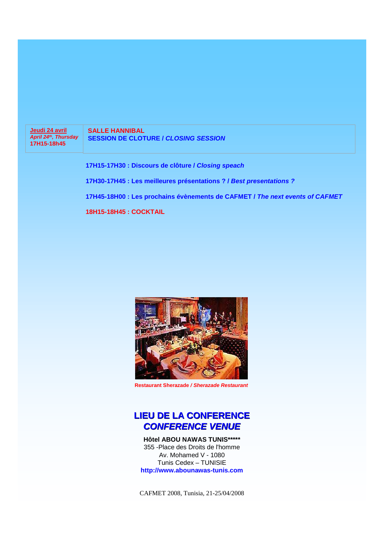**Jeudi 24 avril April 24th, Thursday 17H15-18h45**

**SALLE HANNIBAL SESSION DE CLOTURE / CLOSING SESSION**

**17H15-17H30 : Discours de clôture / Closing speach**

**17H30-17H45 : Les meilleures présentations ? / Best presentations ?** 

**17H45-18H00 : Les prochains évènements de CAFMET / The next events of CAFMET** 

**18H15-18H45 : COCKTAIL**



**Restaurant Sherazade / Sherazade Restaurant**

### **LIEU DE LA CONFERENCE CONFERENCE VENUE**

**Hôtel ABOU NAWAS TUNIS\*\*\*\*\*** 355 -Place des Droits de l'homme Av. Mohamed V - 1080 Tunis Cedex – TUNISIE **http://www.abounawas-tunis.com**